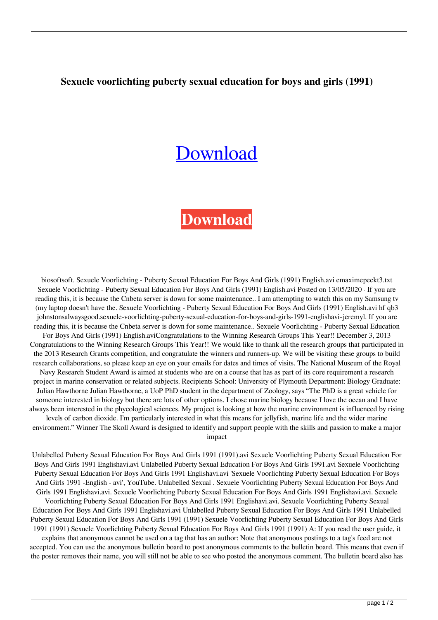## **Sexuele voorlichting puberty sexual education for boys and girls (1991)**

## [Download](https://urlca.com/2ky74s)

## **[Download](https://urlca.com/2ky74s)**

biosoftsoft. Sexuele Voorlichting - Puberty Sexual Education For Boys And Girls (1991) English.avi emaximepeckt3.txt Sexuele Voorlichting - Puberty Sexual Education For Boys And Girls (1991) English.avi Posted on 13/05/2020 · If you are reading this, it is because the Cnbeta server is down for some maintenance.. I am attempting to watch this on my Samsung tv (my laptop doesn't have the. Sexuele Voorlichting - Puberty Sexual Education For Boys And Girls (1991) English.avi hf qb3 johnstonsalwaysgood.sexuele-voorlichting-puberty-sexual-education-for-boys-and-girls-1991-englishavi-jeremyl. If you are reading this, it is because the Cnbeta server is down for some maintenance.. Sexuele Voorlichting - Puberty Sexual Education For Boys And Girls (1991) English.aviCongratulations to the Winning Research Groups This Year!! December 3, 2013 Congratulations to the Winning Research Groups This Year!! We would like to thank all the research groups that participated in the 2013 Research Grants competition, and congratulate the winners and runners-up. We will be visiting these groups to build research collaborations, so please keep an eye on your emails for dates and times of visits. The National Museum of the Royal Navy Research Student Award is aimed at students who are on a course that has as part of its core requirement a research project in marine conservation or related subjects. Recipients School: University of Plymouth Department: Biology Graduate: Julian Hawthorne Julian Hawthorne, a UoP PhD student in the department of Zoology, says "The PhD is a great vehicle for someone interested in biology but there are lots of other options. I chose marine biology because I love the ocean and I have always been interested in the phycological sciences. My project is looking at how the marine environment is influenced by rising levels of carbon dioxide. I'm particularly interested in what this means for jellyfish, marine life and the wider marine environment." Winner The Skoll Award is designed to identify and support people with the skills and passion to make a major impact

Unlabelled Puberty Sexual Education For Boys And Girls 1991 (1991).avi Sexuele Voorlichting Puberty Sexual Education For Boys And Girls 1991 Englishavi.avi Unlabelled Puberty Sexual Education For Boys And Girls 1991.avi Sexuele Voorlichting Puberty Sexual Education For Boys And Girls 1991 Englishavi.avi 'Sexuele Voorlichting Puberty Sexual Education For Boys And Girls 1991 -English - avi', YouTube. Unlabelled Sexual . Sexuele Voorlichting Puberty Sexual Education For Boys And Girls 1991 Englishavi.avi. Sexuele Voorlichting Puberty Sexual Education For Boys And Girls 1991 Englishavi.avi. Sexuele

Voorlichting Puberty Sexual Education For Boys And Girls 1991 Englishavi.avi. Sexuele Voorlichting Puberty Sexual Education For Boys And Girls 1991 Englishavi.avi Unlabelled Puberty Sexual Education For Boys And Girls 1991 Unlabelled Puberty Sexual Education For Boys And Girls 1991 (1991) Sexuele Voorlichting Puberty Sexual Education For Boys And Girls 1991 (1991) Sexuele Voorlichting Puberty Sexual Education For Boys And Girls 1991 (1991) A: If you read the user guide, it

explains that anonymous cannot be used on a tag that has an author: Note that anonymous postings to a tag's feed are not accepted. You can use the anonymous bulletin board to post anonymous comments to the bulletin board. This means that even if the poster removes their name, you will still not be able to see who posted the anonymous comment. The bulletin board also has